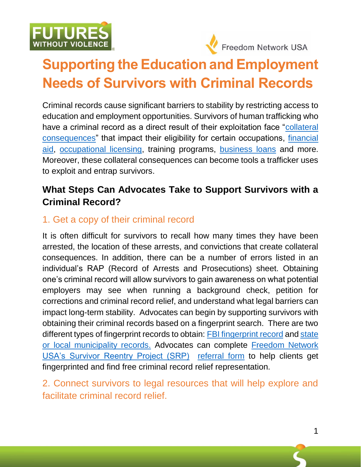



# Ī **Supporting the Education and Employment Needs of Survivors with Criminal Records**

Criminal records cause significant barriers to stability by restricting access to education and employment opportunities. Survivors of human trafficking who have a criminal record as a direct result of their exploitation face ["collateral](https://niccc.nationalreentryresourcecenter.org/)  [consequences"](https://niccc.nationalreentryresourcecenter.org/) that impact their eligibility for certain occupations, [financial](https://studentaid.gov/understand-aid/eligibility/requirements/criminal-convictions)  [aid,](https://studentaid.gov/understand-aid/eligibility/requirements/criminal-convictions) [occupational licensing,](https://ij.org/report/license-to-work-2/report/recommendations-for-reform/licensing-laws-make-harder-former-offenders-find-work/) training programs, [business](https://ccresourcecenter.org/2021/08/02/federal-policies-block-support-for-small-business-owners-with-a-record/) loans and more. Moreover, these collateral consequences can become tools a trafficker uses to exploit and entrap survivors.

# **What Steps Can Advocates Take to Support Survivors with a Criminal Record?**

# 1. Get a copy of their criminal record

It is often difficult for survivors to recall how many times they have been arrested, the location of these arrests, and convictions that create collateral consequences. In addition, there can be a number of errors listed in an individual's RAP (Record of Arrests and Prosecutions) sheet. Obtaining one's criminal record will allow survivors to gain awareness on what potential employers may see when running a background check, petition for corrections and criminal record relief, and understand what legal barriers can impact long-term stability. Advocates can begin by supporting survivors with obtaining their criminal records based on a fingerprint search. There are two different types of fingerprint records to obtain: **FBI** fingerprint record and state [or local municipality records.](https://www.fbi.gov/services/cjis/identity-history-summary-checks/state-identification-bureau-listing) Advocates can complete Freedom Network [USA's Survivor Reentry Project \(SRP\)](https://freedomnetworkusa.org/advocacy/survivor-reentry-project/) [referral form](https://freedomnetworkusa.org/advocacy/survivor-reentry-project/professional-form/) to help clients get fingerprinted and find free criminal record relief representation.

2. Connect survivors to legal resources that will help explore and facilitate criminal record relief.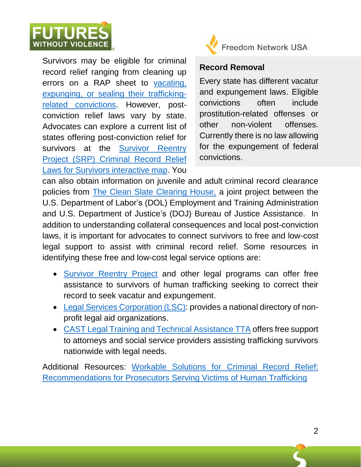

J Survivors may be eligible for criminal record relief ranging from cleaning up errors on a RAP sheet to [vacating,](https://polarisproject.org/wp-content/uploads/2019/03/Grading-Criminal-Record-Relief-Laws-for-Survivors-of-Human-Trafficking.pdf)  [expunging, or sealing their trafficking](https://polarisproject.org/wp-content/uploads/2019/03/Grading-Criminal-Record-Relief-Laws-for-Survivors-of-Human-Trafficking.pdf)[related convictions.](https://polarisproject.org/wp-content/uploads/2019/03/Grading-Criminal-Record-Relief-Laws-for-Survivors-of-Human-Trafficking.pdf) However, postconviction relief laws vary by state. Advocates can explore a current list of states offering post-conviction relief for survivors at the Survivor Reentry [Project \(SRP\) Criminal Record Relief](https://freedomnetworkusa.org/advocacy/survivor-reentry-project/)  [Laws for Survivors interactive map.](https://freedomnetworkusa.org/advocacy/survivor-reentry-project/) You



Freedom Network USA

### **Record Removal**

Every state has different vacatur and expungement laws. Eligible convictions often include prostitution-related offenses or other non-violent offenses. Currently there is no law allowing for the expungement of federal convictions.

can also obtain information on juvenile and adult criminal record clearance policies from [The Clean Slate Clearing House,](https://cleanslateclearinghouse.org/about/) a joint project between the U.S. Department of Labor's (DOL) Employment and Training Administration and U.S. Department of Justice's (DOJ) Bureau of Justice Assistance. In addition to understanding collateral consequences and local post-conviction laws, it is important for advocates to connect survivors to free and low-cost legal support to assist with criminal record relief. Some resources in identifying these free and low-cost legal service options are:

- [Survivor Reentry Project](https://freedomnetworkusa.org/advocacy/survivor-reentry-project/) and other legal programs can offer free assistance to survivors of human trafficking seeking to correct their record to seek vacatur and expungement.
- [Legal Services Corporation \(LSC\):](https://www.lsc.gov/about-lsc/what-legal-aid/get-legal-help) provides a national directory of nonprofit legal aid organizations.
- [CAST Legal Training and Technical Assistance](https://casttta.nationbuilder.com/) TTA offers free support to attorneys and social service providers assisting trafficking survivors nationwide with legal needs.

Additional Resources: [Workable Solutions for Criminal Record Relief:](https://freedomnetworkusa.org/app/uploads/2020/06/SRP-Workable-Solutions-November-2019.pdf)  [Recommendations for Prosecutors Serving Victims of Human Trafficking](https://freedomnetworkusa.org/app/uploads/2020/06/SRP-Workable-Solutions-November-2019.pdf)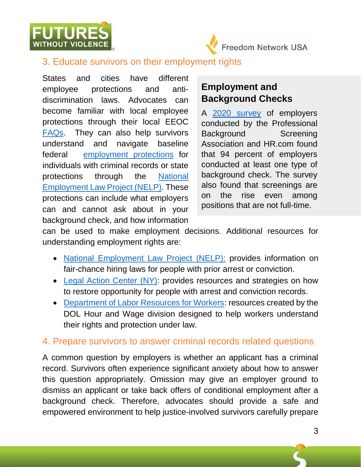



#### Ī 3. Educate survivors on their employment rights

States and cities have different employee protections and antidiscrimination laws. Advocates can become familiar with local employee protections through their local EEOC [FAQs.](https://www.eeoc.gov/field-office) They can also help survivors understand and navigate baseline federal [employment protections](https://www.consumer.ftc.gov/articles/employer-background-checks-and-your-rights) for individuals with criminal records or state protections through the [National](https://www.nelp.org/campaign/ensuring-fair-chance-to-work/)  [Employment Law Project \(NELP\).](https://www.nelp.org/campaign/ensuring-fair-chance-to-work/) These protections can include what employers can and cannot ask about in your background check, and how information

## **Employment and Background Checks**

A [2020 survey](https://www.esrcheck.com/wordpress/2020/07/17/pbsa-hr-2020-background-screening-survey/#:~:text=The%20findings%20of%20the%202020,had%20a%20documented%20screening%20policy.) of employers conducted by the Professional Background Screening Association and HR.com found that 94 percent of employers conducted at least one type of background check. The survey also found that screenings are on the rise even among positions that are not full-time.

can be used to make employment decisions. Additional resources for understanding employment rights are:

- [National Employment Law Project \(NELP\):](https://www.nelp.org/campaign/ensuring-fair-chance-to-work/) provides information on fair-chance hiring laws for people with prior arrest or conviction.
- [Legal Action Center \(NY\):](https://www.lac.org/) provides resources and strategies on how to restore opportunity for people with arrest and conviction records.
- [Department of Labor Resources for Workers:](https://www.dol.gov/agencies/whd/workers-resources) resources created by the DOL Hour and Wage division designed to help workers understand their rights and protection under law.

### 4. Prepare survivors to answer criminal records related questions

A common question by employers is whether an applicant has a criminal record. Survivors often experience significant anxiety about how to answer this question appropriately. Omission may give an employer ground to dismiss an applicant or take back offers of conditional employment after a background check. Therefore, advocates should provide a safe and empowered environment to help justice-involved survivors carefully prepare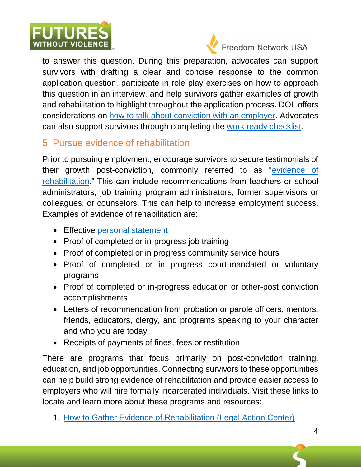



Freedom Network USA

Ī to answer this question. During this preparation, advocates can support survivors with drafting a clear and concise response to the common application question, participate in role play exercises on how to approach this question in an interview, and help survivors gather examples of growth and rehabilitation to highlight throughout the application process. DOL offers considerations on [how to talk about conviction with an employer.](https://www.careeronestop.org/ExOffender/FindAJob/GetInterviewReady/your-conviction.aspx) Advocates can also support survivors through completing the [work ready checklist.](https://www.careeronestop.org/ExOffender/FindAJob/WorkChecklist/work-ready-checklist.aspx)

### 5. Pursue evidence of rehabilitation

Prior to pursuing employment, encourage survivors to secure testimonials of their growth post-conviction, commonly referred to as ["evidence of](https://www.lac.org/assets/files/How-to-Gather-Evidence-of-Rehabilitation.pdf)  [rehabilitation.](https://www.lac.org/assets/files/How-to-Gather-Evidence-of-Rehabilitation.pdf)" This can include recommendations from teachers or school administrators, job training program administrators, former supervisors or colleagues, or counselors. This can help to increase employment success. Examples of evidence of rehabilitation are:

- Effective [personal statement](https://www.lac.org/assets/files/Personal-Statement-Outline-FINAL.pdf)
- Proof of completed or in-progress job training
- Proof of completed or in progress community service hours
- Proof of completed or in progress court-mandated or voluntary programs
- Proof of completed or in-progress education or other-post conviction accomplishments
- Letters of recommendation from probation or parole officers, mentors, friends, educators, clergy, and programs speaking to your character and who you are today
- Receipts of payments of fines, fees or restitution

There are programs that focus primarily on post-conviction training, education, and job opportunities. Connecting survivors to these opportunities can help build strong evidence of rehabilitation and provide easier access to employers who will hire formally incarcerated individuals. Visit these links to locate and learn more about these programs and resources:

1. [How to Gather Evidence of Rehabilitation \(Legal Action Center\)](https://www.lac.org/assets/files/How-to-Gather-Evidence-of-Rehabilitation.pdf)